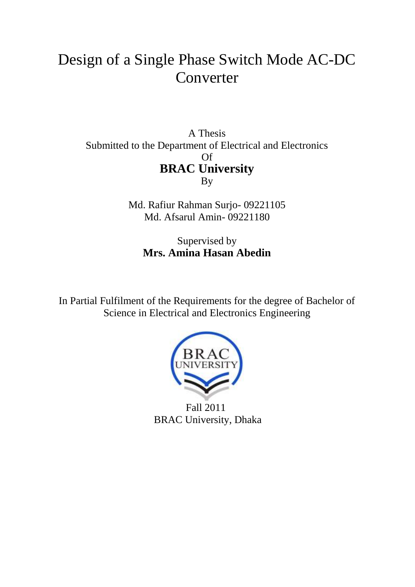# Design of a Single Phase Switch Mode AC-DC Converter

A Thesis Submitted to the Department of Electrical and Electronics Of **BRAC University** By

> Md. Rafiur Rahman Surjo- 09221105 Md. Afsarul Amin- 09221180

Supervised by **Mrs. Amina Hasan Abedin**

In Partial Fulfilment of the Requirements for the degree of Bachelor of Science in Electrical and Electronics Engineering



 Fall 2011 BRAC University, Dhaka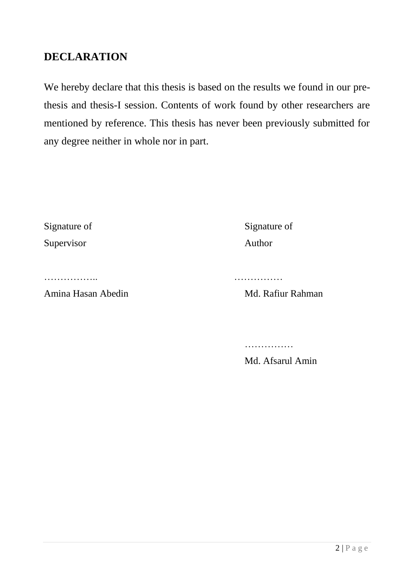# **DECLARATION**

We hereby declare that this thesis is based on the results we found in our prethesis and thesis-I session. Contents of work found by other researchers are mentioned by reference. This thesis has never been previously submitted for any degree neither in whole nor in part.

| Signature of | Signatu |
|--------------|---------|
| Supervisor   | Author  |

Signature of

…………….. ……………

Amina Hasan Abedin Md. Rafiur Rahman

……………

Md. Afsarul Amin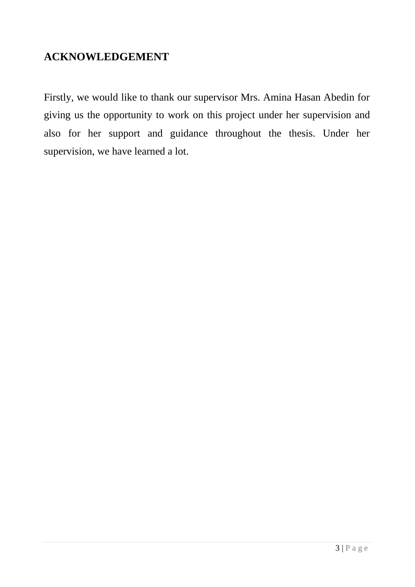# **ACKNOWLEDGEMENT**

Firstly, we would like to thank our supervisor Mrs. Amina Hasan Abedin for giving us the opportunity to work on this project under her supervision and also for her support and guidance throughout the thesis. Under her supervision, we have learned a lot.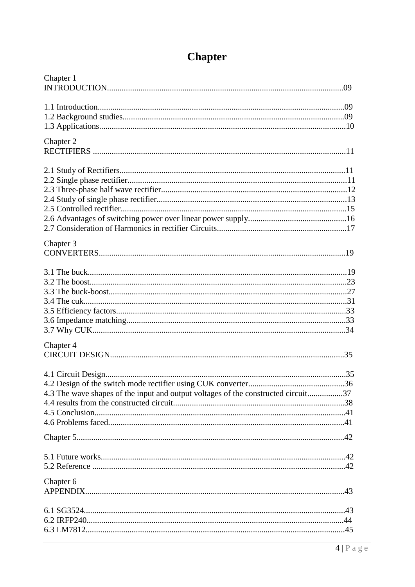| Chapter 1                                                                         |  |
|-----------------------------------------------------------------------------------|--|
|                                                                                   |  |
|                                                                                   |  |
|                                                                                   |  |
| Chapter 2                                                                         |  |
|                                                                                   |  |
|                                                                                   |  |
|                                                                                   |  |
|                                                                                   |  |
|                                                                                   |  |
|                                                                                   |  |
|                                                                                   |  |
| Chapter 3                                                                         |  |
|                                                                                   |  |
|                                                                                   |  |
|                                                                                   |  |
|                                                                                   |  |
|                                                                                   |  |
|                                                                                   |  |
|                                                                                   |  |
|                                                                                   |  |
| Chapter 4                                                                         |  |
|                                                                                   |  |
|                                                                                   |  |
|                                                                                   |  |
| 4.3 The wave shapes of the input and output voltages of the constructed circuit37 |  |
|                                                                                   |  |
|                                                                                   |  |
|                                                                                   |  |
|                                                                                   |  |
|                                                                                   |  |
|                                                                                   |  |
| Chapter 6                                                                         |  |
|                                                                                   |  |
|                                                                                   |  |
|                                                                                   |  |
|                                                                                   |  |

# **Chapter**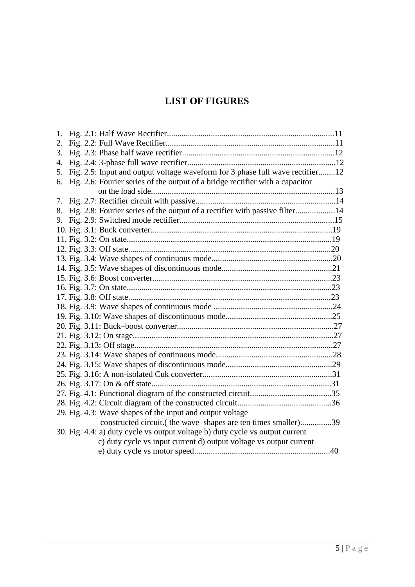# **LIST OF FIGURES**

| 1. |                                                                               |  |
|----|-------------------------------------------------------------------------------|--|
| 2. |                                                                               |  |
| 3. |                                                                               |  |
| 4. |                                                                               |  |
| 5. | Fig. 2.5: Input and output voltage waveform for 3 phase full wave rectifier12 |  |
| 6. | Fig. 2.6: Fourier series of the output of a bridge rectifier with a capacitor |  |
|    |                                                                               |  |
| 7. |                                                                               |  |
| 8. | Fig. 2.8: Fourier series of the output of a rectifier with passive filter14   |  |
| 9. |                                                                               |  |
|    |                                                                               |  |
|    |                                                                               |  |
|    |                                                                               |  |
|    |                                                                               |  |
|    |                                                                               |  |
|    |                                                                               |  |
|    |                                                                               |  |
|    |                                                                               |  |
|    |                                                                               |  |
|    |                                                                               |  |
|    |                                                                               |  |
|    |                                                                               |  |
|    |                                                                               |  |
|    |                                                                               |  |
|    |                                                                               |  |
|    |                                                                               |  |
|    |                                                                               |  |
|    |                                                                               |  |
|    |                                                                               |  |
|    | 29. Fig. 4.3: Wave shapes of the input and output voltage                     |  |
|    | constructed circuit. (the wave shapes are ten times smaller)39                |  |
|    | 30. Fig. 4.4: a) duty cycle vs output voltage b) duty cycle vs output current |  |
|    | c) duty cycle vs input current d) output voltage vs output current            |  |
|    |                                                                               |  |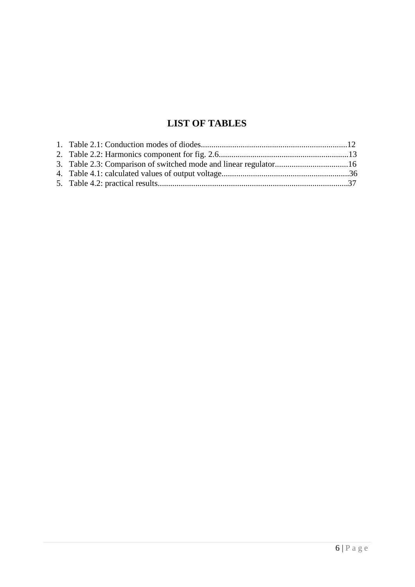# **LIST OF TABLES**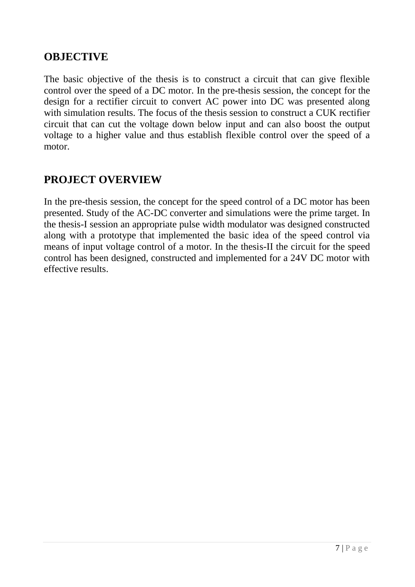# **OBJECTIVE**

The basic objective of the thesis is to construct a circuit that can give flexible control over the speed of a DC motor. In the pre-thesis session, the concept for the design for a rectifier circuit to convert AC power into DC was presented along with simulation results. The focus of the thesis session to construct a CUK rectifier circuit that can cut the voltage down below input and can also boost the output voltage to a higher value and thus establish flexible control over the speed of a motor.

# **PROJECT OVERVIEW**

In the pre-thesis session, the concept for the speed control of a DC motor has been presented. Study of the AC-DC converter and simulations were the prime target. In the thesis-I session an appropriate pulse width modulator was designed constructed along with a prototype that implemented the basic idea of the speed control via means of input voltage control of a motor. In the thesis-II the circuit for the speed control has been designed, constructed and implemented for a 24V DC motor with effective results.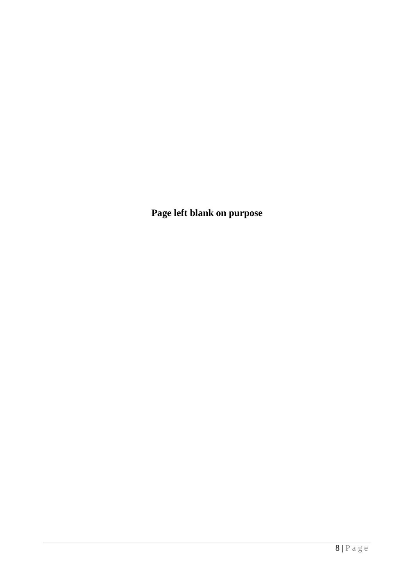**Page left blank on purpose**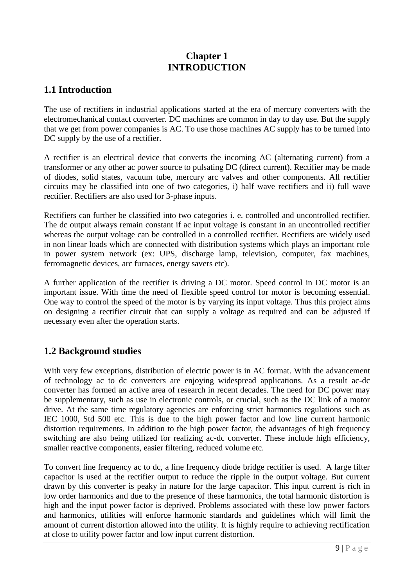### **Chapter 1 INTRODUCTION**

### **1.1 Introduction**

The use of rectifiers in industrial applications started at the era of mercury converters with the electromechanical contact converter. DC machines are common in day to day use. But the supply that we get from power companies is AC. To use those machines AC supply has to be turned into DC supply by the use of a rectifier.

A rectifier is an electrical device that converts the incoming AC (alternating current) from a transformer or any other ac power source to pulsating DC (direct current). Rectifier may be made of diodes, solid states, vacuum tube, mercury arc valves and other components. All rectifier circuits may be classified into one of two categories, i) half wave rectifiers and ii) full wave rectifier. Rectifiers are also used for 3-phase inputs.

Rectifiers can further be classified into two categories i. e. controlled and uncontrolled rectifier. The dc output always remain constant if ac input voltage is constant in an uncontrolled rectifier whereas the output voltage can be controlled in a controlled rectifier. Rectifiers are widely used in non linear loads which are connected with distribution systems which plays an important role in power system network (ex: UPS, discharge lamp, television, computer, fax machines, ferromagnetic devices, arc furnaces, energy savers etc).

A further application of the rectifier is driving a DC motor. Speed control in DC motor is an important issue. With time the need of flexible speed control for motor is becoming essential. One way to control the speed of the motor is by varying its input voltage. Thus this project aims on designing a rectifier circuit that can supply a voltage as required and can be adjusted if necessary even after the operation starts.

### **1.2 Background studies**

With very few exceptions, distribution of electric power is in AC format. With the advancement of technology ac to dc converters are enjoying widespread applications. As a result ac-dc converter has formed an active area of research in recent decades. The need for DC power may be supplementary, such as use in electronic controls, or crucial, such as the DC link of a motor drive. At the same time regulatory agencies are enforcing strict harmonics regulations such as IEC 1000, Std 500 etc. This is due to the high power factor and low line current harmonic distortion requirements. In addition to the high power factor, the advantages of high frequency switching are also being utilized for realizing ac-dc converter. These include high efficiency, smaller reactive components, easier filtering, reduced volume etc.

To convert line frequency ac to dc, a line frequency diode bridge rectifier is used. A large filter capacitor is used at the rectifier output to reduce the ripple in the output voltage. But current drawn by this converter is peaky in nature for the large capacitor. This input current is rich in low order harmonics and due to the presence of these harmonics, the total harmonic distortion is high and the input power factor is deprived. Problems associated with these low power factors and harmonics, utilities will enforce harmonic standards and guidelines which will limit the amount of current distortion allowed into the utility. It is highly require to achieving rectification at close to utility power factor and low input current distortion.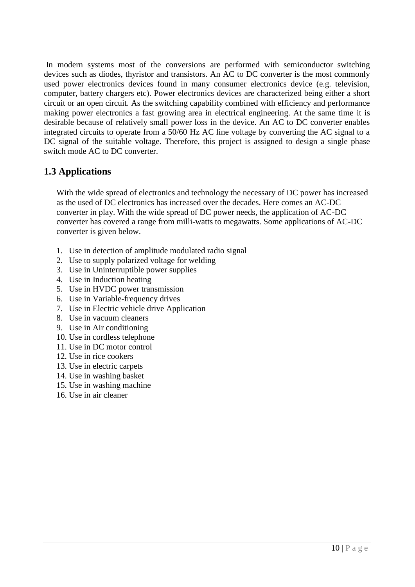In modern systems most of the conversions are performed with semiconductor switching devices such as diodes, thyristor and transistors. An AC to DC converter is the most commonly used power electronics devices found in many consumer electronics device (e.g. television, computer, battery chargers etc). Power electronics devices are characterized being either a short circuit or an open circuit. As the switching capability combined with efficiency and performance making power electronics a fast growing area in electrical engineering. At the same time it is desirable because of relatively small power loss in the device. An AC to DC converter enables integrated circuits to operate from a 50/60 Hz AC line voltage by converting the AC signal to a DC signal of the suitable voltage. Therefore, this project is assigned to design a single phase switch mode AC to DC converter.

### **1.3 Applications**

With the wide spread of electronics and technology the necessary of DC power has increased as the used of DC electronics has increased over the decades. Here comes an AC-DC converter in play. With the wide spread of DC power needs, the application of AC-DC converter has covered a range from milli-watts to megawatts. Some applications of AC-DC converter is given below.

- 1. Use in detection of amplitude modulated radio signal
- 2. Use to supply polarized voltage for welding
- 3. Use in Uninterruptible power supplies
- 4. Use in Induction heating
- 5. Use in HVDC power transmission
- 6. Use in Variable-frequency drives
- 7. Use in Electric vehicle drive Application
- 8. Use in vacuum cleaners
- 9. Use in Air conditioning
- 10. Use in cordless telephone
- 11. Use in DC motor control
- 12. Use in rice cookers
- 13. Use in electric carpets
- 14. Use in washing basket
- 15. Use in washing machine
- 16. Use in air cleaner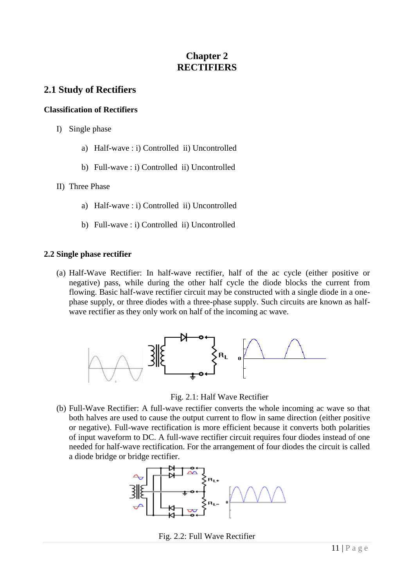### **Chapter 2 RECTIFIERS**

### **2.1 Study of Rectifiers**

#### **Classification of Rectifiers**

- I) Single phase
	- a) Half-wave : i) Controlled ii) Uncontrolled
	- b) Full-wave : i) Controlled ii) Uncontrolled
- II) Three Phase
	- a) Half-wave : i) Controlled ii) Uncontrolled
	- b) Full-wave : i) Controlled ii) Uncontrolled

#### **2.2 Single phase rectifier**

(a) Half-Wave Rectifier: In half-wave rectifier, half of the ac cycle (either positive or negative) pass, while during the other half cycle the diode blocks the current from flowing. Basic half-wave rectifier circuit may be constructed with a single diode in a onephase supply, or three diodes with a three-phase supply. Such circuits are known as halfwave rectifier as they only work on half of the incoming ac wave.



Fig. 2.1: Half Wave Rectifier

(b) Full-Wave Rectifier: A full-wave rectifier converts the whole incoming ac wave so that both halves are used to cause the output current to flow in same direction (either positive or negative). Full-wave rectification is more efficient because it converts both polarities of input waveform to DC. A full-wave rectifier circuit requires four diodes instead of one needed for half-wave rectification. For the arrangement of four diodes the circuit is called a diode bridge or bridge rectifier.



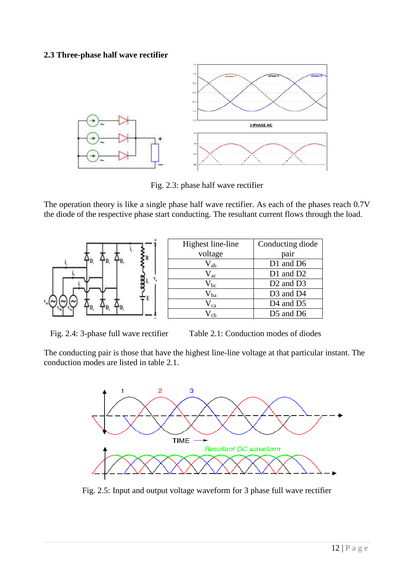#### **2.3 Three-phase half wave rectifier**



Fig. 2.3: phase half wave rectifier

The operation theory is like a single phase half wave rectifier. As each of the phases reach 0.7V the diode of the respective phase start conducting. The resultant current flows through the load.



| Highest line-line  | Conducting diode                  |
|--------------------|-----------------------------------|
| voltage            | pair                              |
| ${\rm V}_{\rm ab}$ | D1 and D6                         |
| $V_{\rm ac}$       | D1 and D2                         |
| $V_{bc}$           | D <sub>2</sub> and D <sub>3</sub> |
| $V_{ba}$           | D <sub>3</sub> and D <sub>4</sub> |
| $V_{ca}$           | D <sub>4</sub> and D <sub>5</sub> |
|                    | D5 and D6                         |

Fig. 2.4: 3-phase full wave rectifier Table 2.1: Conduction modes of diodes

The conducting pair is those that have the highest line-line voltage at that particular instant. The conduction modes are listed in table 2.1.



Fig. 2.5: Input and output voltage waveform for 3 phase full wave rectifier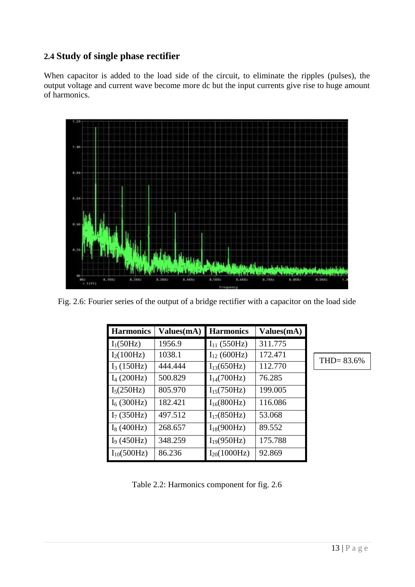### **2.4 Study of single phase rectifier**

When capacitor is added to the load side of the circuit, to eliminate the ripples (pulses), the output voltage and current wave become more dc but the input currents give rise to huge amount of harmonics.



Fig. 2.6: Fourier series of the output of a bridge rectifier with a capacitor on the load side

| <b>Harmonics</b> | Values(mA) | <b>Harmonics</b>        | Values(mA) |
|------------------|------------|-------------------------|------------|
| $I_1(50Hz)$      | 1956.9     | $I_{11}$ (550Hz)        | 311.775    |
| $I_2(100 Hz)$    | 1038.1     | $I_{12}$ (600Hz)        | 172.471    |
| $I_3(150Hz)$     | 444.444    | $I_{13}(650 Hz)$        | 112.770    |
| $I_4(200 Hz)$    | 500.829    | $I_{14}(700 Hz)$        | 76.285     |
| $I_5(250 Hz)$    | 805.970    | $I_{15}(750Hz)$         | 199.005    |
| $I_6(300 Hz)$    | 182.421    | $I_{16}(800 \text{Hz})$ | 116.086    |
| $I_7(350Hz)$     | 497.512    | $I_{17}(850 Hz)$        | 53.068     |
| $I_8(400 Hz)$    | 268.657    | $I_{18}(900 Hz)$        | 89.552     |
| $I_9(450Hz)$     | 348.259    | $I_{19}(950 Hz)$        | 175.788    |
| $I_{10}(500 Hz)$ | 86.236     | $I_{20}(1000 Hz)$       | 92.869     |

THD= 83.6%

Table 2.2: Harmonics component for fig. 2.6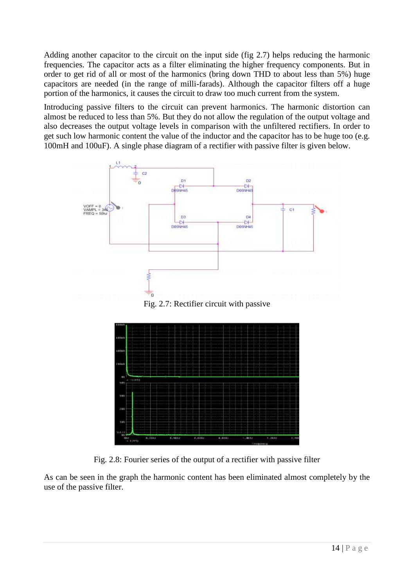Adding another capacitor to the circuit on the input side (fig 2.7) helps reducing the harmonic frequencies. The capacitor acts as a filter eliminating the higher frequency components. But in order to get rid of all or most of the harmonics (bring down THD to about less than 5%) huge capacitors are needed (in the range of milli-farads). Although the capacitor filters off a huge portion of the harmonics, it causes the circuit to draw too much current from the system.

Introducing passive filters to the circuit can prevent harmonics. The harmonic distortion can almost be reduced to less than 5%. But they do not allow the regulation of the output voltage and also decreases the output voltage levels in comparison with the unfiltered rectifiers. In order to get such low harmonic content the value of the inductor and the capacitor has to be huge too (e.g. 100mH and 100uF). A single phase diagram of a rectifier with passive filter is given below.



Fig. 2.7: Rectifier circuit with passive



Fig. 2.8: Fourier series of the output of a rectifier with passive filter

As can be seen in the graph the harmonic content has been eliminated almost completely by the use of the passive filter.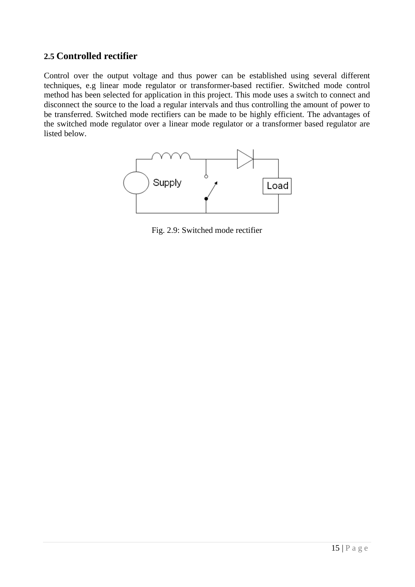### **2.5 Controlled rectifier**

Control over the output voltage and thus power can be established using several different techniques, e.g linear mode regulator or transformer-based rectifier. Switched mode control method has been selected for application in this project. This mode uses a switch to connect and disconnect the source to the load a regular intervals and thus controlling the amount of power to be transferred. Switched mode rectifiers can be made to be highly efficient. The advantages of the switched mode regulator over a linear mode regulator or a transformer based regulator are listed below.



Fig. 2.9: Switched mode rectifier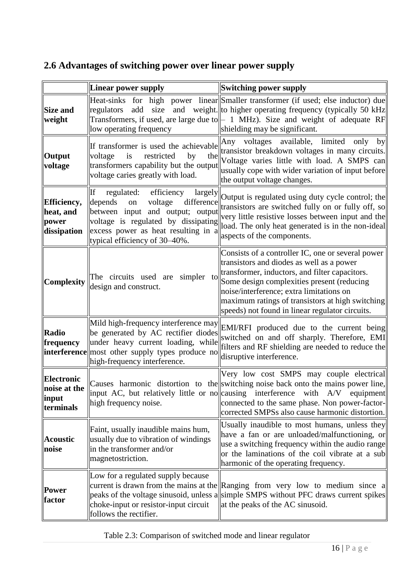# **2.6 Advantages of switching power over linear power supply**

|                                                    | Linear power supply                                                                                                                                                                                                                                                                                                                       | Switching power supply                                                                                                                                                                                                                                                                                                                            |  |  |
|----------------------------------------------------|-------------------------------------------------------------------------------------------------------------------------------------------------------------------------------------------------------------------------------------------------------------------------------------------------------------------------------------------|---------------------------------------------------------------------------------------------------------------------------------------------------------------------------------------------------------------------------------------------------------------------------------------------------------------------------------------------------|--|--|
| Size and<br>weight                                 | Heat-sinks for high power linear Smaller transformer (if used; else inductor) due<br>size<br>and weight. to higher operating frequency (typically 50 kHz<br>add<br>regulators<br>Transformers, if used, are large due to $\parallel$ - 1 MHz). Size and weight of adequate RF<br>shielding may be significant.<br>low operating frequency |                                                                                                                                                                                                                                                                                                                                                   |  |  |
| Output<br>voltage                                  | If transformer is used the achievable<br>voltage<br>restricted<br>by<br>is<br>the<br>transformers capability but the output<br>voltage caries greatly with load.                                                                                                                                                                          | Any voltages available, limited<br>only<br>by<br>transistor breakdown voltages in many circuits.<br>Voltage varies little with load. A SMPS can<br>usually cope with wider variation of input before<br>the output voltage changes.                                                                                                               |  |  |
| Efficiency,<br>heat, and<br>power<br>dissipation   | If<br>regulated:<br>largely<br>efficiency<br>difference<br>depends<br>voltage<br>on<br>between input and output; output<br>voltage is regulated by dissipating<br>excess power as heat resulting in a<br>typical efficiency of 30–40%.                                                                                                    | Output is regulated using duty cycle control; the<br>transistors are switched fully on or fully off, so<br>very little resistive losses between input and the<br>load. The only heat generated is in the non-ideal<br>aspects of the components.                                                                                                  |  |  |
| Complexity                                         | The circuits used are<br>simpler to<br>design and construct.                                                                                                                                                                                                                                                                              | Consists of a controller IC, one or several power<br>transistors and diodes as well as a power<br>transformer, inductors, and filter capacitors.<br>Some design complexities present (reducing<br>noise/interference; extra limitations on<br>maximum ratings of transistors at high switching<br>speeds) not found in linear regulator circuits. |  |  |
| Radio<br>frequency                                 | Mild high-frequency interference may<br>be generated by AC rectifier diodes<br>under heavy current loading, while<br><b>interference</b> most other supply types produce no<br>high-frequency interference.                                                                                                                               | EMI/RFI produced due to the current being<br>switched on and off sharply. Therefore, EMI<br>filters and RF shielding are needed to reduce the<br>disruptive interference.                                                                                                                                                                         |  |  |
| Electronic<br>noise at the<br>  input<br>terminals | high frequency noise.                                                                                                                                                                                                                                                                                                                     | Very low cost SMPS may couple electrical<br>Causes harmonic distortion to the switching noise back onto the mains power line,<br>input AC, but relatively little or no causing interference with $A/V$ equipment<br>connected to the same phase. Non power-factor-<br>corrected SMPSs also cause harmonic distortion.                             |  |  |
| <b>Acoustic</b><br>noise                           | Faint, usually inaudible mains hum,<br>usually due to vibration of windings<br>in the transformer and/or<br>magnetostriction.                                                                                                                                                                                                             | Usually inaudible to most humans, unless they<br>have a fan or are unloaded/malfunctioning, or<br>use a switching frequency within the audio range<br>or the laminations of the coil vibrate at a sub<br>harmonic of the operating frequency.                                                                                                     |  |  |
| <b>Power</b><br>factor                             | Low for a regulated supply because<br>choke-input or resistor-input circuit<br>follows the rectifier.                                                                                                                                                                                                                                     | current is drawn from the mains at the Ranging from very low to medium since a<br>peaks of the voltage sinusoid, unless a simple SMPS without PFC draws current spikes<br>at the peaks of the AC sinusoid.                                                                                                                                        |  |  |

Table 2.3: Comparison of switched mode and linear regulator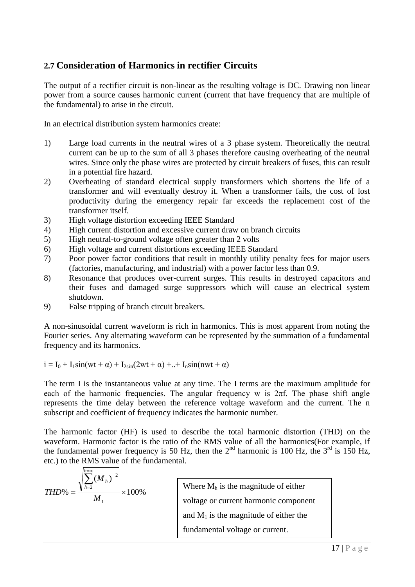### **2.7 Consideration of Harmonics in rectifier Circuits**

The output of a rectifier circuit is non-linear as the resulting voltage is DC. Drawing non linear power from a source causes harmonic current (current that have frequency that are multiple of the fundamental) to arise in the circuit.

In an electrical distribution system harmonics create:

- 1) Large load currents in the neutral wires of a 3 phase system. Theoretically the neutral current can be up to the sum of all 3 phases therefore causing overheating of the neutral wires. Since only the phase wires are protected by circuit breakers of fuses, this can result in a potential fire hazard.
- 2) Overheating of standard electrical supply transformers which shortens the life of a transformer and will eventually destroy it. When a transformer fails, the cost of lost productivity during the emergency repair far exceeds the replacement cost of the transformer itself.
- 3) High voltage distortion exceeding IEEE Standard
- 4) High current distortion and excessive current draw on branch circuits
- 5) High neutral-to-ground voltage often greater than 2 volts
- 6) High voltage and current distortions exceeding IEEE Standard
- 7) Poor power factor conditions that result in monthly utility penalty fees for major users (factories, manufacturing, and industrial) with a power factor less than 0.9.
- 8) Resonance that produces over-current surges. This results in destroyed capacitors and their fuses and damaged surge suppressors which will cause an electrical system shutdown.
- 9) False tripping of branch circuit breakers.

A non-sinusoidal current waveform is rich in harmonics. This is most apparent from noting the Fourier series. Any alternating waveform can be represented by the summation of a fundamental frequency and its harmonics.

$$
i=I_0+I_1sin(wt+\alpha)+I_{2sin}(2wt+\alpha)+..+I_nsin(nwt+\alpha)
$$

The term I is the instantaneous value at any time. The I terms are the maximum amplitude for each of the harmonic frequencies. The angular frequency w is  $2\pi f$ . The phase shift angle represents the time delay between the reference voltage waveform and the current. The n subscript and coefficient of frequency indicates the harmonic number.

The harmonic factor (HF) is used to describe the total harmonic distortion (THD) on the waveform. Harmonic factor is the ratio of the RMS value of all the harmonics(For example, if the fundamental power frequency is 50 Hz, then the  $2<sup>nd</sup>$  harmonic is 100 Hz, the  $3<sup>rd</sup>$  is 150 Hz, etc.) to the RMS value of the fundamental.

| $h=2$<br>THD\%<br>$00\%$ | Where $M_h$ is the magnitude of either   |  |
|--------------------------|------------------------------------------|--|
|                          | voltage or current harmonic component    |  |
|                          | and $M_1$ is the magnitude of either the |  |
|                          | fundamental voltage or current.          |  |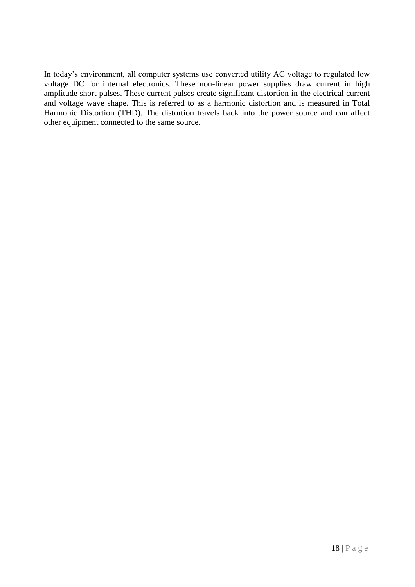In today's environment, all computer systems use converted utility AC voltage to regulated low voltage DC for internal electronics. These non-linear power supplies draw current in high amplitude short pulses. These current pulses create significant distortion in the electrical current and voltage wave shape. This is referred to as a harmonic distortion and is measured in Total Harmonic Distortion (THD). The distortion travels back into the power source and can affect other equipment connected to the same source.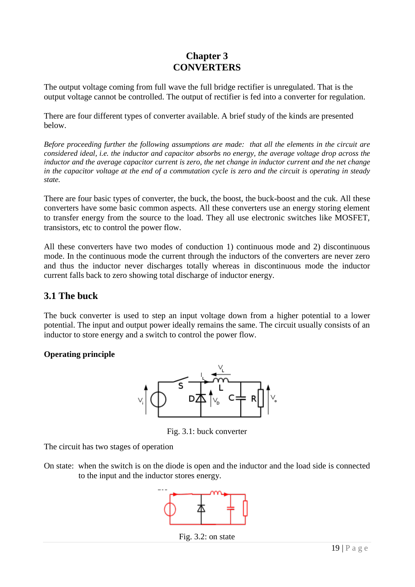### **Chapter 3 CONVERTERS**

The output voltage coming from full wave the full bridge rectifier is unregulated. That is the output voltage cannot be controlled. The output of rectifier is fed into a converter for regulation.

There are four different types of converter available. A brief study of the kinds are presented below.

*Before proceeding further the following assumptions are made: that all the elements in the circuit are considered ideal, i.e. the inductor and capacitor absorbs no energy, the average voltage drop across the inductor and the average capacitor current is zero, the net change in inductor current and the net change in the capacitor voltage at the end of a commutation cycle is zero and the circuit is operating in steady state.*

There are four basic types of converter, the buck, the boost, the buck-boost and the cuk. All these converters have some basic common aspects. All these converters use an energy storing element to transfer energy from the source to the load. They all use electronic switches like MOSFET, transistors, etc to control the power flow.

All these converters have two modes of conduction 1) continuous mode and 2) discontinuous mode. In the continuous mode the current through the inductors of the converters are never zero and thus the inductor never discharges totally whereas in discontinuous mode the inductor current falls back to zero showing total discharge of inductor energy.

### **3.1 The buck**

The buck converter is used to step an input voltage down from a higher potential to a lower potential. The input and output power ideally remains the same. The circuit usually consists of an inductor to store energy and a switch to control the power flow.

#### **Operating principle**



Fig. 3.1: buck converter

The circuit has two stages of operation

On state: when the switch is on the diode is open and the inductor and the load side is connected to the input and the inductor stores energy.



Fig. 3.2: on state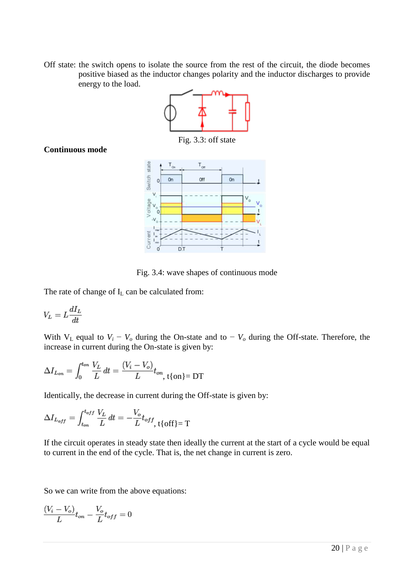Off state: the switch opens to isolate the source from the rest of the circuit, the diode becomes positive biased as the inductor changes polarity and the inductor discharges to provide energy to the load.



#### **Continuous mode**



Fig. 3.4: wave shapes of continuous mode

The rate of change of  $I_L$  can be calculated from:

$$
V_L = L \frac{dI_L}{dt}
$$

With  $V_L$  equal to  $V_i - V_o$  during the On-state and to  $-V_o$  during the Off-state. Therefore, the increase in current during the On-state is given by:

$$
\Delta I_{L_{on}} = \int_0^{t_{on}} \frac{V_L}{L} dt = \frac{(V_i - V_o)}{L} t_{on}, \quad t \{on\} = DT
$$

Identically, the decrease in current during the Off-state is given by:

$$
\Delta I_{L_{off}} = \int_{t_{on}}^{t_{off}} \frac{V_L}{L} dt = -\frac{V_o}{L} t_{off}, \quad t_{off} = T
$$

If the circuit operates in steady state then ideally the current at the start of a cycle would be equal to current in the end of the cycle. That is, the net change in current is zero.

So we can write from the above equations:

$$
\frac{(V_i - V_o)}{L}t_{on} - \frac{V_o}{L}t_{off} = 0
$$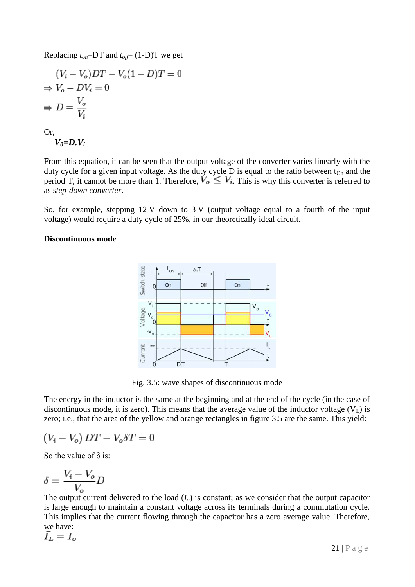Replacing  $t_{on} = DT$  and  $t_{off} = (1-D)T$  we get

$$
(V_i - V_o)DT - V_o(1 - D)T = 0
$$
  
\n
$$
\Rightarrow V_o - DV_i = 0
$$
  
\n
$$
\Rightarrow D = \frac{V_o}{V_i}
$$

Or,

$$
V_{\theta} = D.V_i
$$

From this equation, it can be seen that the output voltage of the converter varies linearly with the duty cycle for a given input voltage. As the duty cycle  $D$  is equal to the ratio between  $t_{On}$  and the period T, it cannot be more than 1. Therefore,  $V_o \leq V_i$ . This is why this converter is referred to as *step-down converter*.

So, for example, stepping 12 V down to 3 V (output voltage equal to a fourth of the input voltage) would require a duty cycle of 25%, in our theoretically ideal circuit.

#### **Discontinuous mode**



Fig. 3.5: wave shapes of discontinuous mode

The energy in the inductor is the same at the beginning and at the end of the cycle (in the case of discontinuous mode, it is zero). This means that the average value of the inductor voltage  $(V_L)$  is zero; i.e., that the area of the yellow and orange rectangles in figure 3.5 are the same. This yield:

$$
(V_i - V_o) DT - V_o \delta T = 0
$$

So the value of  $\delta$  is:

$$
\delta = \frac{V_i - V_o}{V_o}D
$$

The output current delivered to the load  $(I<sub>o</sub>)$  is constant; as we consider that the output capacitor is large enough to maintain a constant voltage across its terminals during a commutation cycle. This implies that the current flowing through the capacitor has a zero average value. Therefore, we have: $\bar{I}_L = I_o$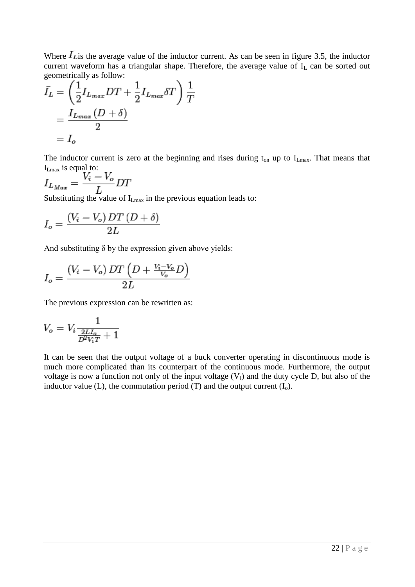Where  $I_{\text{Lis}}$  the average value of the inductor current. As can be seen in figure 3.5, the inductor current waveform has a triangular shape. Therefore, the average value of  $I_L$  can be sorted out geometrically as follow:

$$
\bar{I}_L = \left(\frac{1}{2}I_{L_{max}}DT + \frac{1}{2}I_{L_{max}}\delta T\right)\frac{1}{T}
$$

$$
= \frac{I_{L_{max}}(D+\delta)}{2}
$$

$$
= I_o
$$

The inductor current is zero at the beginning and rises during  $t_{on}$  up to  $I_{Lmax}$ . That means that  $I_{Lmax}$  is equal to:

$$
I_{L_{Max}} = \frac{V_i - V_o}{L} DT
$$

Substituting the value of  $I_{Lmax}$  in the previous equation leads to:

$$
I_o = \frac{(V_i - V_o) DT(D + \delta)}{2L}
$$

And substituting  $\delta$  by the expression given above yields:

$$
I_o = \frac{(V_i - V_o) DT\left(D + \frac{V_i - V_o}{V_o}D\right)}{2L}
$$

The previous expression can be rewritten as:

$$
V_o = V_i \frac{1}{\frac{2LL_o}{D^2 V_i T} + 1}
$$

It can be seen that the output voltage of a buck converter operating in discontinuous mode is much more complicated than its counterpart of the continuous mode. Furthermore, the output voltage is now a function not only of the input voltage  $(V_i)$  and the duty cycle D, but also of the inductor value (L), the commutation period (T) and the output current  $(I_0)$ .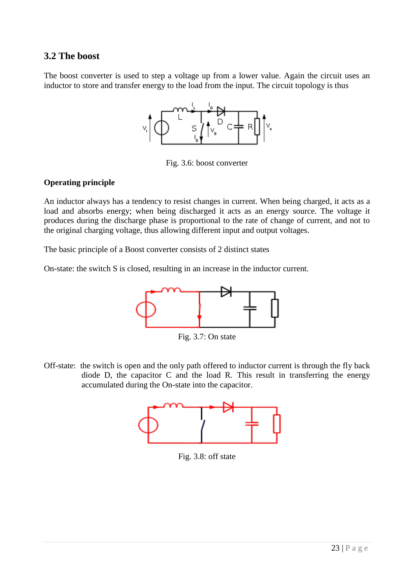### **3.2 The boost**

The boost converter is used to step a voltage up from a lower value. Again the circuit uses an inductor to store and transfer energy to the load from the input. The circuit topology is thus



Fig. 3.6: boost converter

#### **Operating principle**

An [inductor](http://en.wikipedia.org/wiki/Inductor) always has a tendency to resist changes in current. When being charged, it acts as a load and absorbs energy; when being discharged it acts as an energy source. The voltage it produces during the discharge phase is proportional to the rate of change of current, and not to the original charging voltage, thus allowing different input and output voltages.

The basic principle of a Boost converter consists of 2 distinct states

On-state: the switch S is closed, resulting in an increase in the inductor current.



Fig. 3.7: On state

Off-state: the switch is open and the only path offered to inductor current is through the [fly back](http://en.wikipedia.org/wiki/Flyback_diode) [diode](http://en.wikipedia.org/wiki/Flyback_diode) D, the capacitor C and the load R. This result in transferring the energy accumulated during the On-state into the capacitor.



Fig. 3.8: off state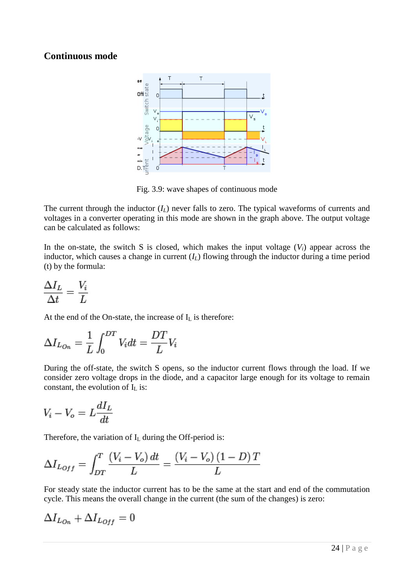### **Continuous mode**



Fig. 3.9: wave shapes of continuous mode

The current through the inductor (*IL*) never falls to zero. The typical waveforms of currents and voltages in a converter operating in this mode are shown in the graph above. The output voltage can be calculated as follows:

In the on-state, the switch S is closed, which makes the input voltage  $(V_i)$  appear across the inductor, which causes a change in current  $(I_L)$  flowing through the inductor during a time period (t) by the formula:

$$
\frac{\Delta I_L}{\Delta t} = \frac{V_i}{L}
$$

At the end of the On-state, the increase of  $I_L$  is therefore:

$$
\Delta I_{L_{On}} = \frac{1}{L} \int_0^{DT} V_i dt = \frac{DT}{L} V_i
$$

During the off-state, the switch S opens, so the inductor current flows through the load. If we consider zero voltage drops in the diode, and a capacitor large enough for its voltage to remain constant, the evolution of  $I_L$  is:

$$
V_i - V_o = L \frac{dI_L}{dt}
$$

Therefore, the variation of  $I_L$  during the Off-period is:

$$
\Delta I_{L_{Off}} = \int_{DT}^{T} \frac{(V_i - V_o) dt}{L} = \frac{(V_i - V_o)(1 - D) T}{L}
$$

For steady state the inductor current has to be the same at the start and end of the commutation cycle. This means the overall change in the current (the sum of the changes) is zero:

$$
\Delta I_{Lo_n} + \Delta I_{Loff} = 0
$$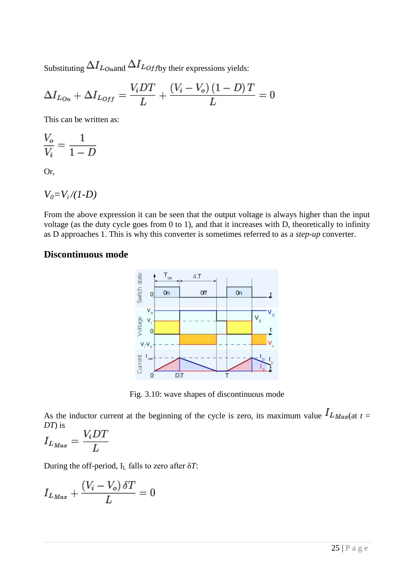Substituting  $\Delta I_{L \text{o}_n}$  and  $\Delta I_{L \text{o}_f}$  their expressions yields:

$$
\Delta I_{Lon} + \Delta I_{Loff} = \frac{V_i DT}{L} + \frac{(V_i - V_o)(1 - D)T}{L} = 0
$$

This can be written as:

$$
\frac{V_o}{V_i} = \frac{1}{1 - D}
$$

Or,

$$
V_0 = V_i / (1-D)
$$

From the above expression it can be seen that the output voltage is always higher than the input voltage (as the duty cycle goes from 0 to 1), and that it increases with D, theoretically to infinity as D approaches 1. This is why this converter is sometimes referred to as a *step-up* converter.

#### **Discontinuous mode**



Fig. 3.10: wave shapes of discontinuous mode

As the inductor current at the beginning of the cycle is zero, its maximum value  $I_{L_{\text{Max}}(at\ t}$ *DT*) is  $\cdot$   $\cdot$   $\sim$ 

$$
I_{L_{Max}} = \frac{V_i DT}{L}
$$

During the off-period, I<sup>L</sup> falls to zero after δ*T*:

$$
I_{L_{Max}} + \frac{(V_i - V_o) \, \delta T}{L} = 0
$$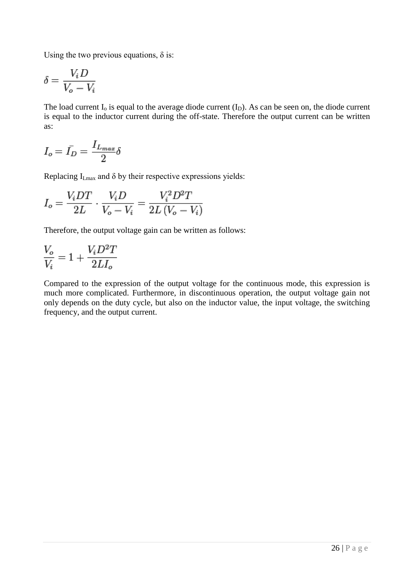Using the two previous equations,  $\delta$  is:

$$
\delta = \frac{V_i D}{V_o - V_i}
$$

The load current  $I_0$  is equal to the average diode current  $(I_D)$ . As can be seen on, the diode current is equal to the inductor current during the off-state. Therefore the output current can be written as:

$$
I_o=\bar{I_D}=\frac{I_{L_{max}}}{2}\delta
$$

Replacing  $I_{Lmax}$  and  $\delta$  by their respective expressions yields:

$$
I_o = \frac{V_iDT}{2L} \cdot \frac{V_iD}{V_o-V_i} = \frac{V_i^2D^2T}{2L(V_o-V_i)}
$$

Therefore, the output voltage gain can be written as follows:

$$
\frac{V_o}{V_i}=1+\frac{V_iD^2T}{2LI_o}
$$

Compared to the expression of the output voltage for the continuous mode, this expression is much more complicated. Furthermore, in discontinuous operation, the output voltage gain not only depends on the duty cycle, but also on the inductor value, the input voltage, the switching frequency, and the output current.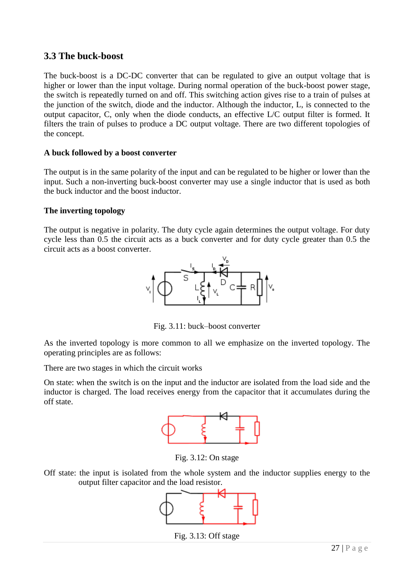### **3.3 The buck-boost**

The buck-boost is a DC-DC converter that can be regulated to give an output voltage that is higher or lower than the input voltage. During normal operation of the buck-boost power stage, the switch is repeatedly turned on and off. This switching action gives rise to a train of pulses at the junction of the switch, diode and the inductor. Although the inductor, L, is connected to the output capacitor, C, only when the diode conducts, an effective L/C output filter is formed. It filters the train of pulses to produce a DC output voltage. There are two different topologies of the concept.

#### **A buck followed by a boost converter**

The output is in the same polarity of the input and can be regulated to be higher or lower than the input. Such a non-inverting buck-boost converter may use a single inductor that is used as both the buck inductor and the boost inductor.

#### **The inverting topology**

The output is negative in polarity. The duty cycle again determines the output voltage. For duty cycle less than 0.5 the circuit acts as a buck converter and for duty cycle greater than 0.5 the circuit acts as a boost converter.



Fig. 3.11: buck–boost converter

As the inverted topology is more common to all we emphasize on the inverted topology. The operating principles are as follows:

There are two stages in which the circuit works

On state: when the switch is on the input and the inductor are isolated from the load side and the inductor is charged. The load receives energy from the capacitor that it accumulates during the off state.



Fig. 3.12: On stage

Off state: the input is isolated from the whole system and the inductor supplies energy to the output filter capacitor and the load resistor.



Fig. 3.13: Off stage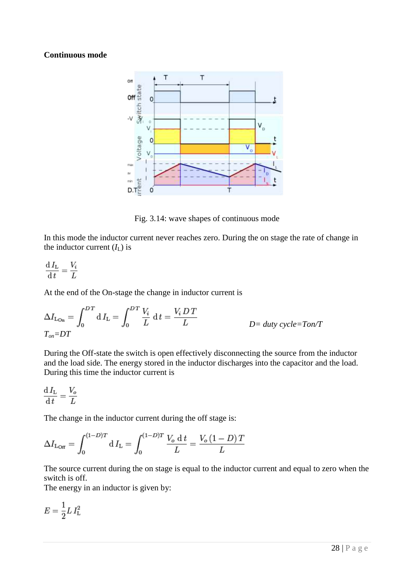#### **Continuous mode**



Fig. 3.14: wave shapes of continuous mode

In this mode the inductor current never reaches zero. During the on stage the rate of change in the inductor current  $(I_L)$  is

$$
\frac{\mathrm{d} I_\mathrm{L}}{\mathrm{d} t} = \frac{V_i}{L}
$$

At the end of the On-stage the change in inductor current is

$$
\Delta I_{\text{Lon}} = \int_0^{DT} dI_{\text{L}} = \int_0^{DT} \frac{V_i}{L} dt = \frac{V_i DT}{L}
$$
  
 
$$
D = duty cycle = Ton/T
$$

During the Off-state the switch is open effectively disconnecting the source from the inductor and the load side. The energy stored in the inductor discharges into the capacitor and the load. During this time the inductor current is

$$
\frac{\mathrm{d} I_{\mathrm{L}}}{\mathrm{d} t} = \frac{V_o}{L}
$$

The change in the inductor current during the off stage is:

$$
\Delta I_{\rm{L_{{\rm{Off}}}}} = \int_0^{(1-D)T} {\rm{d}} \, I_{\rm{L}} = \int_0^{(1-D)T} \frac{V_o \ {\rm{d}} \, t}{L} = \frac{V_o \, (1-D) \, T}{L}
$$

The source current during the on stage is equal to the inductor current and equal to zero when the switch is off.

The energy in an inductor is given by:

$$
E = \frac{1}{2} L I_{\rm L}^2
$$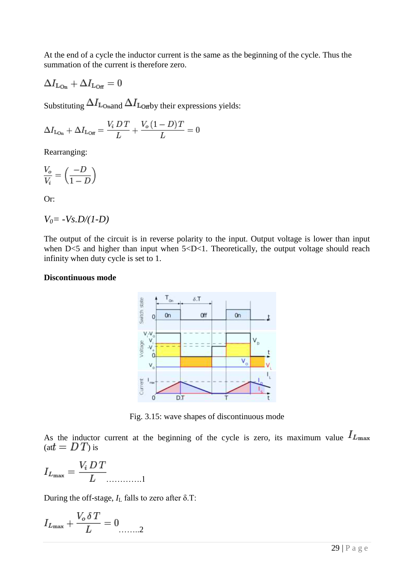At the end of a cycle the inductor current is the same as the beginning of the cycle. Thus the summation of the current is therefore zero.

$$
\Delta I_{\rm{L_{On}}}+\Delta I_{\rm{L_{Off}}}=0
$$

Substituting  $\Delta I_{\text{Lonand}} \Delta I_{\text{Lorby their expressions yields:}}$ 

$$
\Delta I_{\text{Lo}_{n}} + \Delta I_{\text{Lo}_{f}} = \frac{V_i \, D \, T}{L} + \frac{V_o \left(1 - D\right) T}{L} = 0
$$

Rearranging:

$$
\frac{V_o}{V_i} = \left(\frac{-D}{1-D}\right)
$$

Or:

$$
V_0 = -Vs.D/(1-D)
$$

The output of the circuit is in reverse polarity to the input. Output voltage is lower than input when  $D \le 5$  and higher than input when  $5 \le D \le 1$ . Theoretically, the output voltage should reach infinity when duty cycle is set to 1.

#### **Discontinuous mode**



Fig. 3.15: wave shapes of discontinuous mode

As the inductor current at the beginning of the cycle is zero, its maximum value  $I_{L_{\text{max}}}$  $(at = DT)$  is

………….1

During the off-stage,  $I_L$  falls to zero after  $\delta$ .T:

$$
I_{L_{\max}} + \frac{V_o \, \delta \, T}{L} = 0 \dots 2
$$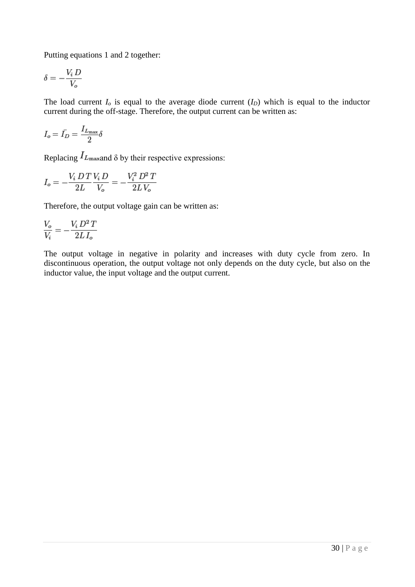Putting equations 1 and 2 together:

$$
\delta = -\frac{V_i D}{V_o}
$$

The load current  $I<sub>o</sub>$  is equal to the average diode current  $(I<sub>D</sub>)$  which is equal to the inductor current during the off-stage. Therefore, the output current can be written as:

$$
I_o=\bar{I_D}=\frac{I_{L_{\rm max}}}{2}\delta
$$

Replacing  $I_{L_{\text{max}}}$  and  $\delta$  by their respective expressions:

$$
I_o = -\frac{V_i}{2L} \frac{D T}{V_o} \frac{V_i}{V_o} = -\frac{V_i^2}{2L} \frac{D^2 T}{V_o}
$$

Therefore, the output voltage gain can be written as:

$$
\frac{V_o}{V_i}=-\frac{V_i\,D^2\,T}{2L\,I_o}
$$

The output voltage in negative in polarity and increases with duty cycle from zero. In discontinuous operation, the output voltage not only depends on the duty cycle, but also on the inductor value, the input voltage and the output current.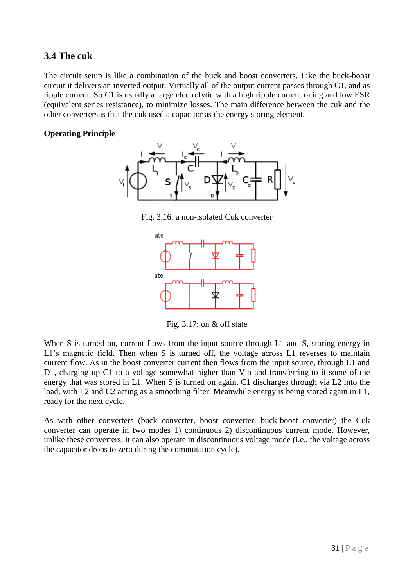### **3.4 The cuk**

The circuit setup is like a combination of the buck and boost converters. Like the buck-boost circuit it delivers an inverted output. Virtually all of the output current passes through C1, and as ripple current. So C1 is usually a large electrolytic with a high ripple current rating and low ESR (equivalent series resistance), to minimize losses. The main difference between the cuk and the other converters is that the cuk used a capacitor as the energy storing element.

#### **Operating Principle**



Fig. 3.16: a non-isolated Cuk converter



Fig. 3.17: on & off state

When S is turned on, current flows from the input source through L1 and S, storing energy in L1's magnetic field. Then when S is turned off, the voltage across L1 reverses to maintain current flow. As in the boost converter current then flows from the input source, through L1 and D1, charging up C1 to a voltage somewhat higher than Vin and transferring to it some of the energy that was stored in L1. When S is turned on again, C1 discharges through via L2 into the load, with L2 and C2 acting as a smoothing filter. Meanwhile energy is being stored again in L1, ready for the next cycle.

As with other converters [\(buck converter,](http://en.wikipedia.org/wiki/Buck_converter) [boost converter,](http://en.wikipedia.org/wiki/Boost_converter) [buck-boost converter\)](http://en.wikipedia.org/wiki/Buck-boost_converter) the Cuk converter can operate in two modes 1) continuous 2) discontinuous current mode. However, unlike these converters, it can also operate in discontinuous voltage mode (i.e., the voltage across the capacitor drops to zero during the commutation cycle).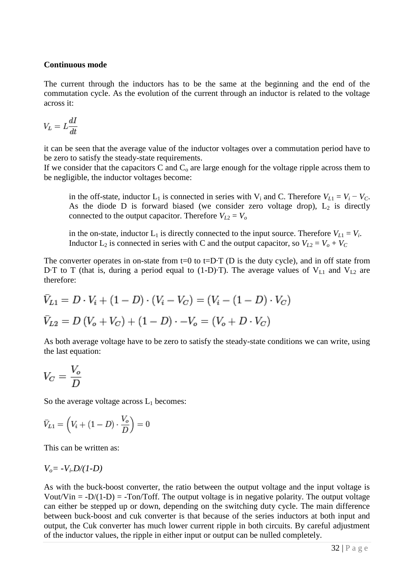#### **Continuous mode**

The current through the inductors has to be the same at the beginning and the end of the commutation cycle. As the evolution of the current through an inductor is related to the voltage across it:

$$
V_L=L\frac{dI}{dt}
$$

it can be seen that the average value of the inductor voltages over a commutation period have to be zero to satisfy the steady-state requirements.

If we consider that the capacitors  $C$  and  $C_0$  are large enough for the voltage ripple across them to be negligible, the inductor voltages become:

in the off-state, inductor  $L_1$  is connected in series with  $V_i$  and C. Therefore  $V_{L1} = V_i - V_c$ . As the diode D is forward biased (we consider zero voltage drop),  $L_2$  is directly connected to the output capacitor. Therefore  $V_{L2} = V_o$ 

in the on-state, inductor  $L_1$  is directly connected to the input source. Therefore  $V_{L1} = V_i$ . Inductor  $L_2$  is connected in series with C and the output capacitor, so  $V_{L2} = V_o + V_c$ 

The converter operates in on-state from  $t=0$  to  $t=D$ ·T (D is the [duty cycle\)](http://en.wikipedia.org/wiki/Duty_cycle), and in off state from D·T to T (that is, during a period equal to (1-D)·T). The average values of  $V_{L1}$  and  $V_{L2}$  are therefore:

$$
\bar{V}_{L1} = D \cdot V_i + (1 - D) \cdot (V_i - V_C) = (V_i - (1 - D) \cdot V_C)
$$
  

$$
\bar{V}_{L2} = D (V_o + V_C) + (1 - D) \cdot -V_o = (V_o + D \cdot V_C)
$$

As both average voltage have to be zero to satisfy the steady-state conditions we can write, using the last equation:

$$
V_C = \frac{V_o}{D}
$$

So the average voltage across  $L_1$  becomes:

$$
\bar{V}_{L1} = \left(V_i + (1 - D) \cdot \frac{V_o}{D}\right) = 0
$$

This can be written as:

$$
V_o = -V_i.D/(1-D)
$$

As with the buck-boost converter, the ratio between the output voltage and the input voltage is Vout/Vin =  $-D/(1-D)$  =  $-Ton/Toff$ . The output voltage is in negative polarity. The output voltage can either be stepped up or down, depending on the switching duty cycle. The main difference between buck-boost and cuk converter is that because of the series inductors at both input and output, the Cuk converter has much lower current ripple in both circuits. By careful adjustment of the inductor values, the ripple in either input or output can be nulled completely.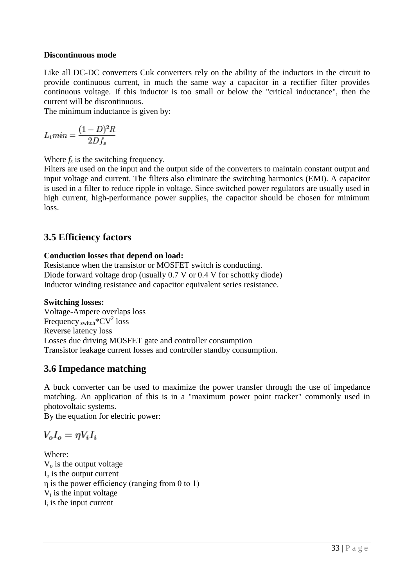#### **Discontinuous mode**

Like all DC-DC converters Cuk converters rely on the ability of the inductors in the circuit to provide continuous current, in much the same way a capacitor in a rectifier filter provides continuous voltage. If this inductor is too small or below the "critical inductance", then the current will be discontinuous.

The minimum inductance is given by:

$$
L_1 min = \frac{(1 - D)^2 R}{2 D f_s}
$$

Where  $f_s$  is the switching frequency.

Filters are used on the input and the output side of the converters to maintain constant output and input voltage and current. The filters also eliminate the switching harmonics (EMI). A capacitor is used in a filter to reduce ripple in voltage. Since switched power regulators are usually used in high current, high-performance power supplies, the capacitor should be chosen for minimum loss.

### **3.5 Efficiency factors**

#### **Conduction losses that depend on load:**

Resistance when the transistor or MOSFET switch is conducting. Diode forward voltage drop (usually 0.7 V or 0.4 V for [schottky diode\)](http://en.wikipedia.org/wiki/Schottky_diode) Inductor winding resistance and capacitor equivalent series resistance.

#### **Switching losses:**

Voltage-Ampere overlaps loss Frequency  $\frac{1}{\text{switch}}$ \*CV<sup>2</sup> loss Reverse latency loss Losses due driving MOSFET gate and controller consumption Transistor leakage current losses and controller standby consumption.

### **3.6 Impedance matching**

A buck converter can be used to [maximize the power transfer](http://en.wikipedia.org/wiki/Maximum_power_theorem) through the use of [impedance](http://en.wikipedia.org/wiki/Impedance_matching)  [matching.](http://en.wikipedia.org/wiki/Impedance_matching) An application of this is in a ["maximum power point tracker"](http://en.wikipedia.org/wiki/Maximum_power_point_tracker) commonly used in [photovoltaic](http://en.wikipedia.org/wiki/Photovoltaic) systems.

By the equation for [electric power:](http://en.wikipedia.org/wiki/Electric_power)

$$
V_o I_o = \eta V_i I_i
$$

Where:  $V<sub>o</sub>$  is the output voltage  $I<sub>o</sub>$  is the output current η is the power efficiency (ranging from 0 to 1) V<sup>i</sup> is the input voltage  $I_i$  is the input current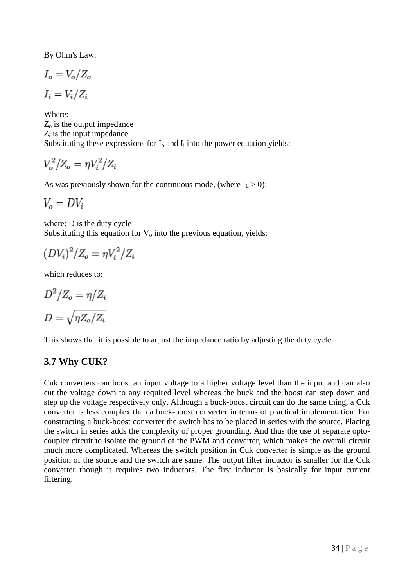By [Ohm's Law:](http://en.wikipedia.org/wiki/Ohm%27s_Law)

$$
I_o = V_o / Z_o
$$
  

$$
I_i = V_i / Z_i
$$

Where:  $Z<sub>o</sub>$  is the output [impedance](http://en.wikipedia.org/wiki/Electrical_impedance)  $Z_i$  is the input impedance Substituting these expressions for  $I_0$  and  $I_i$  into the power equation yields:

$$
V_o^2/Z_o = \eta V_i^2/Z_i
$$

As was previously shown for the [continuous mode,](http://en.wikipedia.org/wiki/Buck_converter#Continuous_mode) (where  $I_L > 0$ ):

$$
V_o = DV_i
$$

where: D is the duty cycle Substituting this equation for  $V_0$  into the previous equation, yields:

$$
(DV_i)^2/Z_o = \eta V_i^2/Z_i
$$

which reduces to:

$$
D^2/Z_o = \eta/Z_i
$$

$$
D = \sqrt{\eta Z_o/Z_i}
$$

This shows that it is possible to adjust the impedance ratio by adjusting the duty cycle.

### **3.7 Why CUK?**

Cuk converters can boost an input voltage to a higher voltage level than the input and can also cut the voltage down to any required level whereas the buck and the boost can step down and step up the voltage respectively only. Although a buck-boost circuit can do the same thing, a Cuk converter is less complex than a buck-boost converter in terms of practical implementation. For constructing a buck-boost converter the switch has to be placed in series with the source. Placing the switch in series adds the complexity of proper grounding. And thus the use of separate optocoupler circuit to isolate the ground of the PWM and converter, which makes the overall circuit much more complicated. Whereas the switch position in Cuk converter is simple as the ground position of the source and the switch are same. The output filter inductor is smaller for the Cuk converter though it requires two inductors. The first inductor is basically for input current filtering.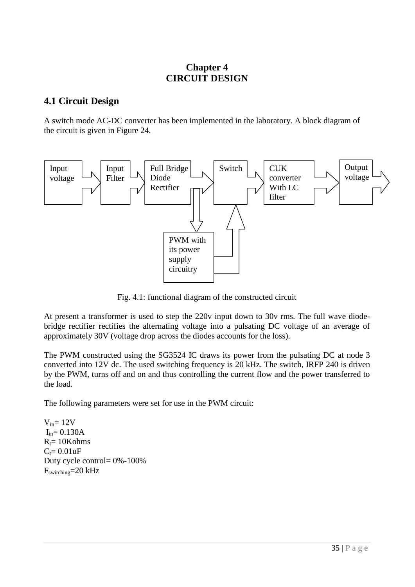### **Chapter 4 CIRCUIT DESIGN**

### **4.1 Circuit Design**

A switch mode AC-DC converter has been implemented in the laboratory. A block diagram of the circuit is given in Figure 24.



Fig. 4.1: functional diagram of the constructed circuit

At present a transformer is used to step the 220v input down to 30v rms. The full wave diodebridge rectifier rectifies the alternating voltage into a pulsating DC voltage of an average of approximately 30V (voltage drop across the diodes accounts for the loss).

The PWM constructed using the SG3524 IC draws its power from the pulsating DC at node 3 converted into 12V dc. The used switching frequency is 20 kHz. The switch, IRFP 240 is driven by the PWM, turns off and on and thus controlling the current flow and the power transferred to the load.

The following parameters were set for use in the PWM circuit:

 $V_{in}= 12V$  $I_{in}= 0.130A$  $R_t = 10Kohns$  $C_t = 0.01uF$ Duty cycle control= 0%-100% Fswitching=20 kHz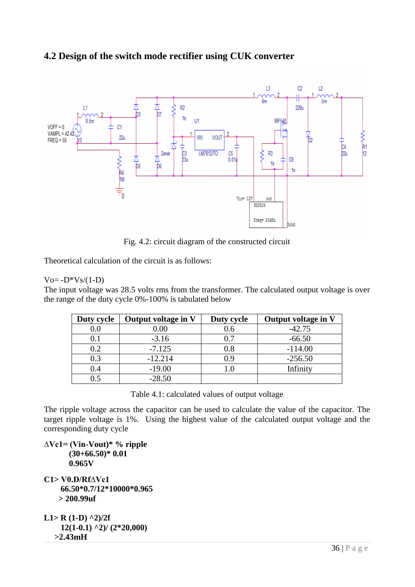

### **4.2 Design of the switch mode rectifier using CUK converter**

Theoretical calculation of the circuit is as follows:

#### $V_0 = -D*V_s/(1-D)$

The input voltage was 28.5 volts rms from the transformer. The calculated output voltage is over the range of the duty cycle 0%-100% is tabulated below

| Duty cycle | Output voltage in V | Duty cycle | Output voltage in V |
|------------|---------------------|------------|---------------------|
| $0.0\,$    | 0.00                | 0.6        | $-42.75$            |
| 0.1        | $-3.16$             | 0.7        | $-66.50$            |
| 0.2        | $-7.125$            | $0.8\,$    | $-114.00$           |
| 0.3        | $-12.214$           | 0.9        | $-256.50$           |
| 0.4        | $-19.00$            | l .O       | Infinity            |
| 0.5        | $-28.50$            |            |                     |

Table 4.1: calculated values of output voltage

The ripple voltage across the capacitor can be used to calculate the value of the capacitor. The target ripple voltage is 1%. Using the highest value of the calculated output voltage and the corresponding duty cycle

```
∆Vc1= (Vin-Vout)* % ripple
        (30+66.50)* 0.01
      0.965V
C1> V0.D/Rf∆Vc1
     66.50*0.7/12*10000*0.965
     > 200.99uf
L1> R (1-D) ^2)/2f
     12(1-0.1) ^2)/ (2*20,000)
```
 **>2.43mH**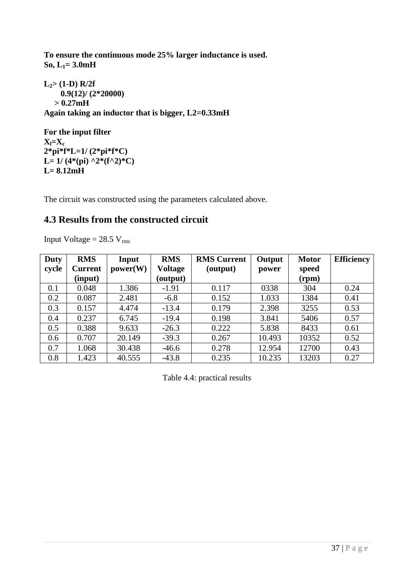**To ensure the continuous mode 25% larger inductance is used. So, L1= 3.0mH**

**L2> (1-D) R/2f 0.9(12)/ (2\*20000) > 0.27mH Again taking an inductor that is bigger, L2=0.33mH**

**For the input filter**  $X_l = X_c$ **2\*pi\*f\*L=1/ (2\*pi\*f\*C)** L=  $1/(4*(pi) \cdot 2*(f^2)^*C)$ **L= 8.12mH** 

The circuit was constructed using the parameters calculated above.

## **4.3 Results from the constructed circuit**

Input Voltage  $= 28.5$  V<sub>rms</sub>

| <b>Duty</b> | <b>RMS</b>     | Input    | <b>RMS</b> | <b>RMS Current</b> | Output | <b>Motor</b> | <b>Efficiency</b> |
|-------------|----------------|----------|------------|--------------------|--------|--------------|-------------------|
| cycle       | <b>Current</b> | power(W) | Voltage    | (output)           | power  | speed        |                   |
|             | (input)        |          | (output)   |                    |        | (rpm)        |                   |
| 0.1         | 0.048          | 1.386    | $-1.91$    | 0.117              | 0338   | 304          | 0.24              |
| 0.2         | 0.087          | 2.481    | $-6.8$     | 0.152              | 1.033  | 1384         | 0.41              |
| 0.3         | 0.157          | 4.474    | $-13.4$    | 0.179              | 2.398  | 3255         | 0.53              |
| 0.4         | 0.237          | 6.745    | $-19.4$    | 0.198              | 3.841  | 5406         | 0.57              |
| 0.5         | 0.388          | 9.633    | $-26.3$    | 0.222              | 5.838  | 8433         | 0.61              |
| 0.6         | 0.707          | 20.149   | $-39.3$    | 0.267              | 10.493 | 10352        | 0.52              |
| 0.7         | 1.068          | 30.438   | $-46.6$    | 0.278              | 12.954 | 12700        | 0.43              |
| 0.8         | 1.423          | 40.555   | $-43.8$    | 0.235              | 10.235 | 13203        | 0.27              |

Table 4.4: practical results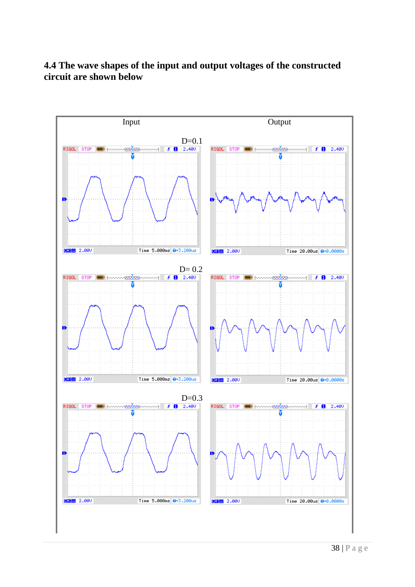### **4.4 The wave shapes of the input and output voltages of the constructed circuit are shown below**

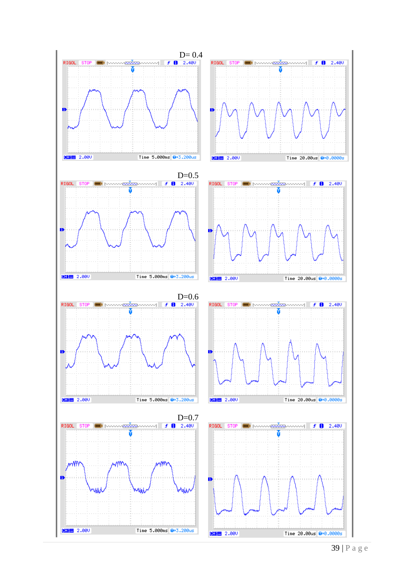

39 | P a g e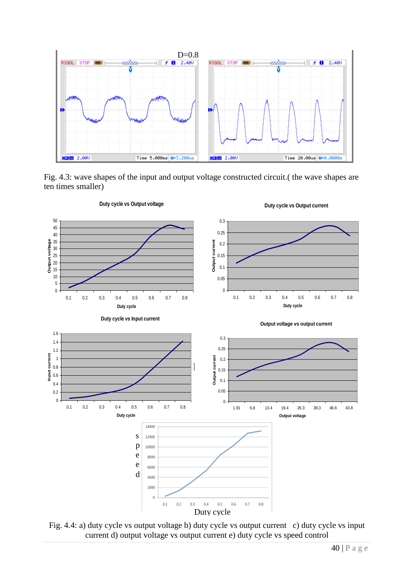

Fig. 4.3: wave shapes of the input and output voltage constructed circuit.( the wave shapes are ten times smaller)



Fig. 4.4: a) duty cycle vs output voltage b) duty cycle vs output current c) duty cycle vs input current d) output voltage vs output current e) duty cycle vs speed control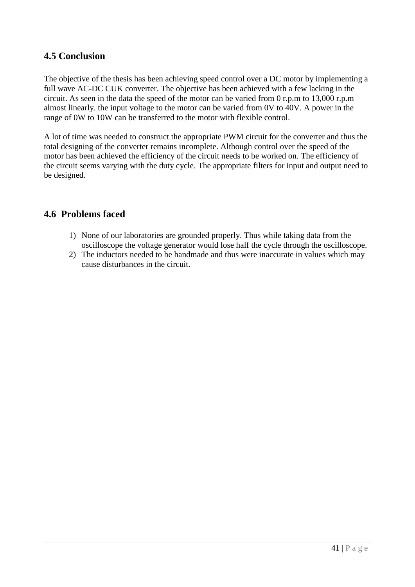### **4.5 Conclusion**

The objective of the thesis has been achieving speed control over a DC motor by implementing a full wave AC-DC CUK converter. The objective has been achieved with a few lacking in the circuit. As seen in the data the speed of the motor can be varied from 0 r.p.m to 13,000 r.p.m almost linearly. the input voltage to the motor can be varied from 0V to 40V. A power in the range of 0W to 10W can be transferred to the motor with flexible control.

A lot of time was needed to construct the appropriate PWM circuit for the converter and thus the total designing of the converter remains incomplete. Although control over the speed of the motor has been achieved the efficiency of the circuit needs to be worked on. The efficiency of the circuit seems varying with the duty cycle. The appropriate filters for input and output need to be designed.

### **4.6 Problems faced**

- 1) None of our laboratories are grounded properly. Thus while taking data from the oscilloscope the voltage generator would lose half the cycle through the oscilloscope.
- 2) The inductors needed to be handmade and thus were inaccurate in values which may cause disturbances in the circuit.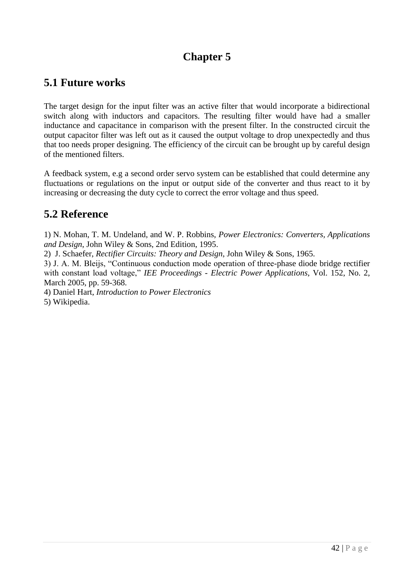# **Chapter 5**

# **5.1 Future works**

The target design for the input filter was an active filter that would incorporate a bidirectional switch along with inductors and capacitors. The resulting filter would have had a smaller inductance and capacitance in comparison with the present filter. In the constructed circuit the output capacitor filter was left out as it caused the output voltage to drop unexpectedly and thus that too needs proper designing. The efficiency of the circuit can be brought up by careful design of the mentioned filters.

A feedback system, e.g a second order servo system can be established that could determine any fluctuations or regulations on the input or output side of the converter and thus react to it by increasing or decreasing the duty cycle to correct the error voltage and thus speed.

# **5.2 Reference**

1) N. Mohan, T. M. Undeland, and W. P. Robbins, *Power Electronics: Converters, Applications and Design*, John Wiley & Sons, 2nd Edition, 1995.

2) J. Schaefer, *Rectifier Circuits: Theory and Design*, John Wiley & Sons, 1965.

3) J. A. M. Bleijs, "Continuous conduction mode operation of three-phase diode bridge rectifier with constant load voltage," *IEE Proceedings - Electric Power Applications*, Vol. 152, No. 2, March 2005, pp. 59-368.

4) Daniel Hart, *Introduction to Power Electronics*

5) Wikipedia.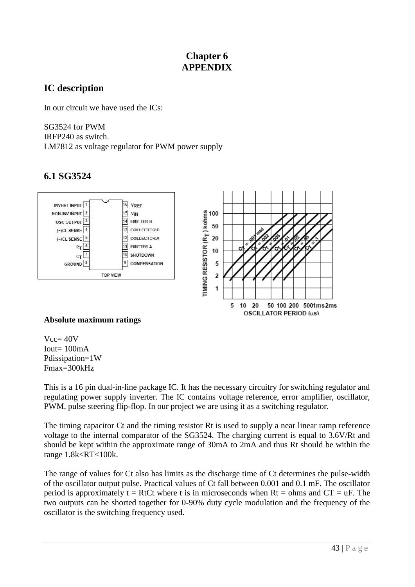### **Chapter 6 APPENDIX**

### **IC description**

In our circuit we have used the ICs:

SG3524 for PWM IRFP240 as switch. LM7812 as voltage regulator for PWM power supply

# **6.1 SG3524**



### **Absolute maximum ratings**

 $Vcc= 40V$ Iout=  $100mA$ Pdissipation=1W Fmax=300kHz

This is a 16 pin dual-in-line package IC. It has the necessary circuitry for switching regulator and regulating power supply inverter. The IC contains voltage reference, error amplifier, oscillator, PWM, pulse steering flip-flop. In our project we are using it as a switching regulator.

The timing capacitor Ct and the timing resistor Rt is used to supply a near linear ramp reference voltage to the internal comparator of the SG3524. The charging current is equal to 3.6V/Rt and should be kept within the approximate range of 30mA to 2mA and thus Rt should be within the range 1.8k<RT<100k.

The range of values for Ct also has limits as the discharge time of Ct determines the pulse-width of the oscillator output pulse. Practical values of Ct fall between 0.001 and 0.1 mF. The oscillator period is approximately  $t = RtCt$  where t is in microseconds when  $Rt = ohms$  and  $CT = uF$ . The two outputs can be shorted together for 0-90% duty cycle modulation and the frequency of the oscillator is the switching frequency used.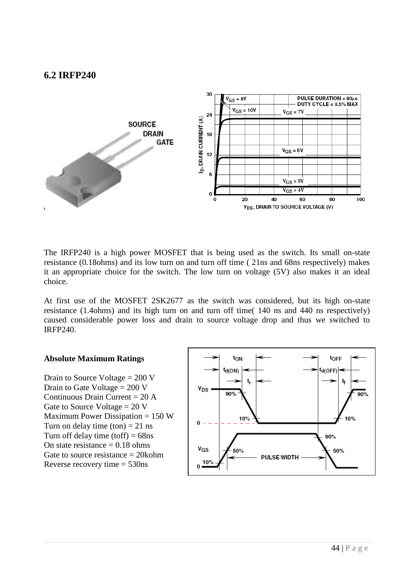### **6.2 IRFP240**



The IRFP240 is a high power MOSFET that is being used as the switch. Its small on-state resistance (0.18ohms) and its low turn on and turn off time ( 21ns and 68ns respectively) makes it an appropriate choice for the switch. The low turn on voltage (5V) also makes it an ideal choice.

At first use of the MOSFET 2SK2677 as the switch was considered, but its high on-state resistance (1.4ohms) and its high turn on and turn off time( 140 ns and 440 ns respectively) caused considerable power loss and drain to source voltage drop and thus we switched to IRFP240.

#### **Absolute Maximum Ratings**

Drain to Source Voltage = 200 V Drain to Gate Voltage  $= 200$  V Continuous Drain Current  $= 20$  A Gate to Source Voltage  $= 20$  V Maximum Power Dissipation  $= 150 W$ Turn on delay time  $(ton) = 21$  ns Turn off delay time (toff)  $= 68$ ns On state resistance  $= 0.18$  ohms Gate to source resistance = 20kohm Reverse recovery time = 530ns